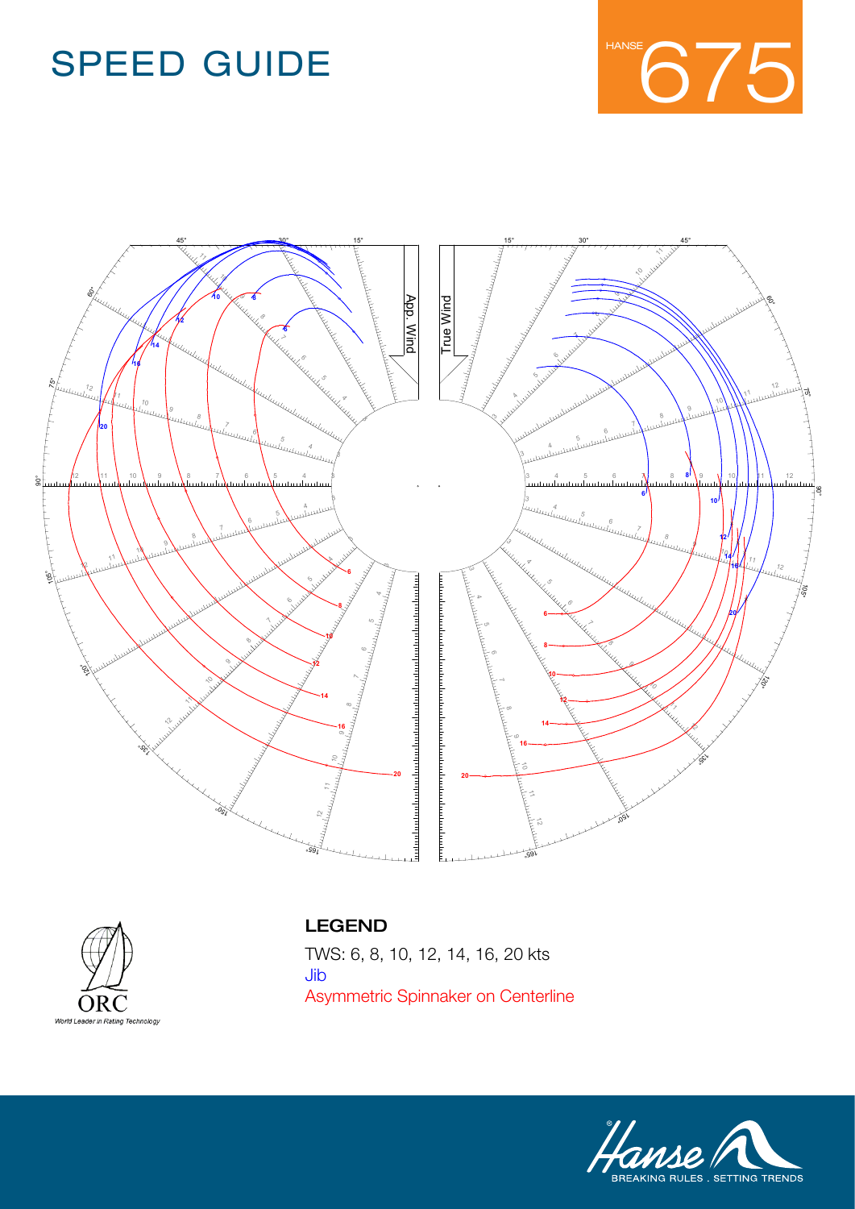





#### LEGEND

**TWS: 6, 8, 10, 12, 14, 16, 20 kts** Name **Standartkeel-Reacher** Jib **Jib Asymmetric Spinnaker on Centerline** Asymmetric Spinnaker on CenterlineTWS: 6, 8, 10, 12, 14, 16, 20 kts

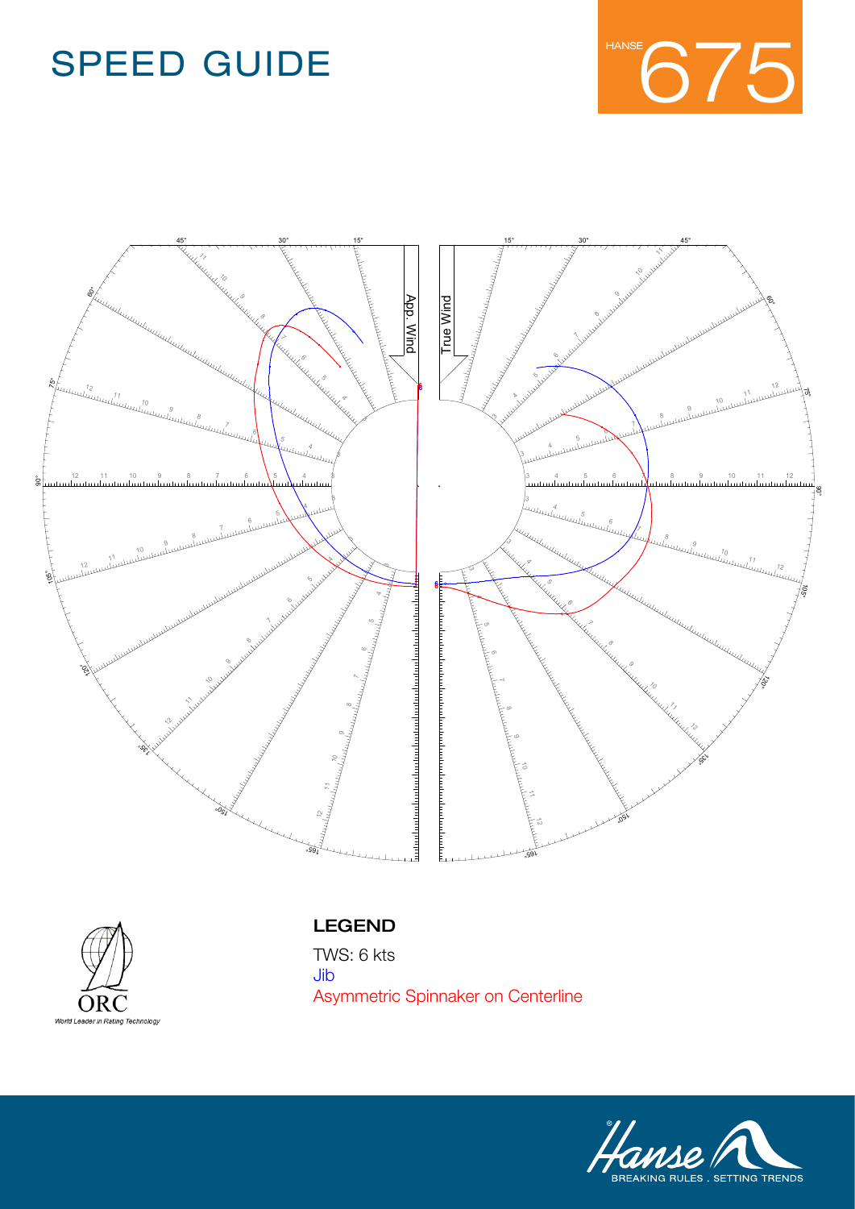





#### LEGEND

Name **Standartkeel-Reacher** Jib  $\overline{\mathbf{C}}$ **Asymmetric Spinnaker on Centerline** Asymmetric Spinnaker on CenterlineTWS: 6 kts

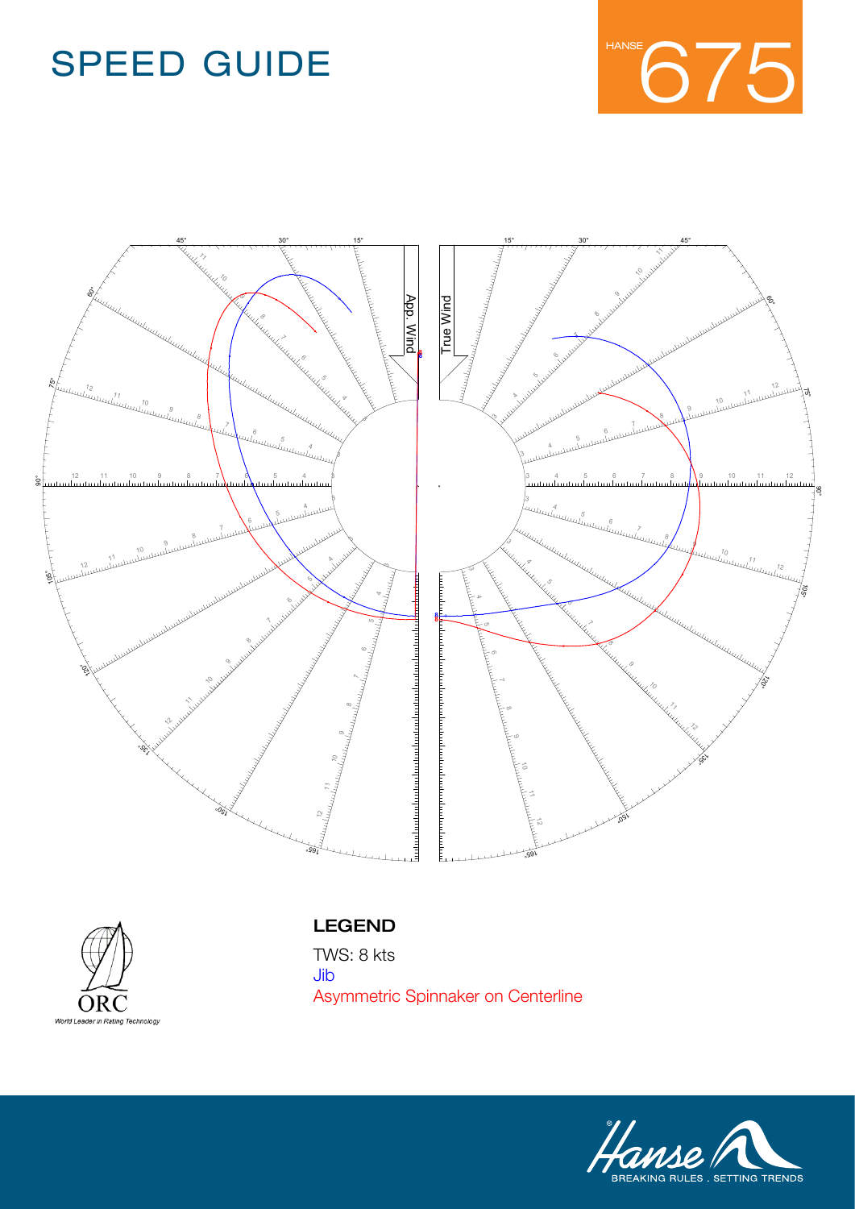





#### LEGEND

Name **Standartkeel-Reacher** Jib  $\overline{\mathbf{C}}$ **Asymmetric Spinnaker on Centerline** Asymmetric Spinnaker on CenterlineTWS: 8 kts

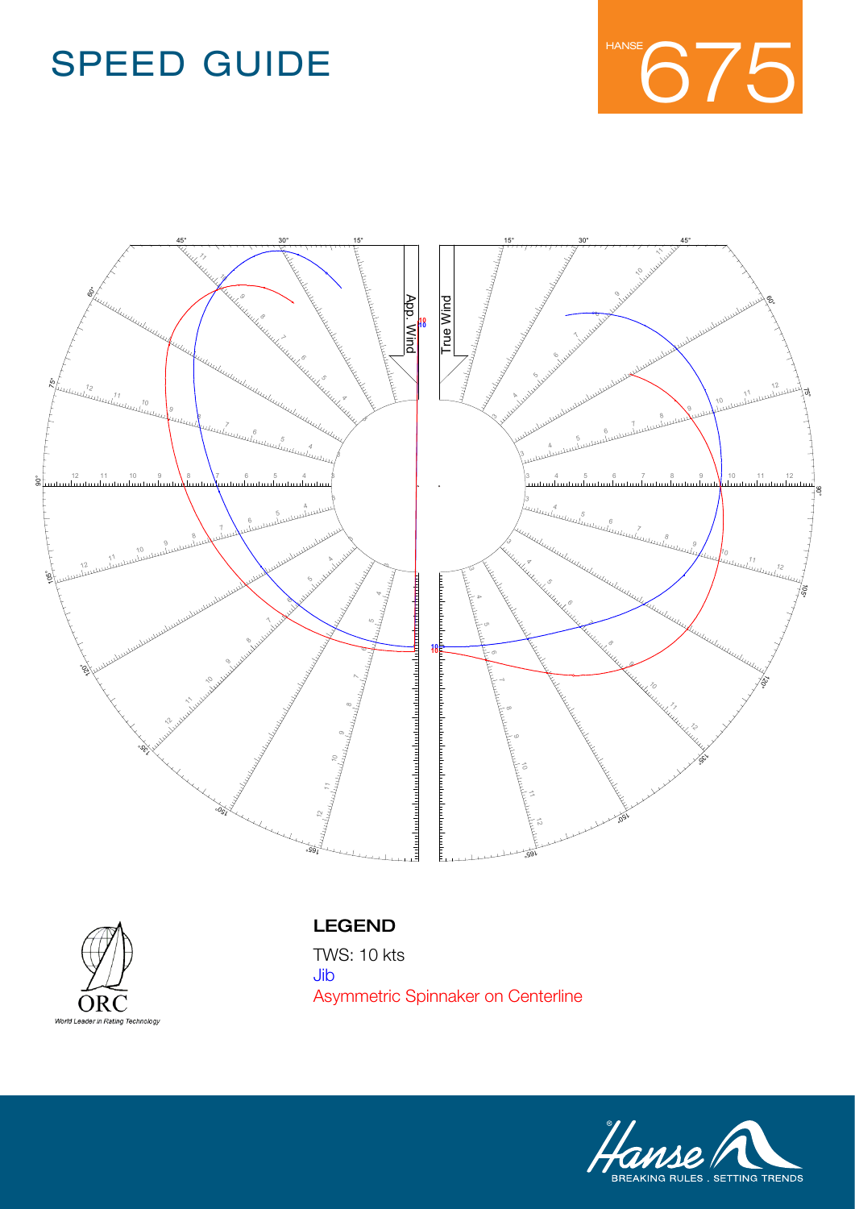





#### LEGEND

Name **Standartkeel-Reacher** Jib  $\overline{\mathbf{C}}$ **Asymmetric Spinnaker on Centerline** Asymmetric Spinnaker on CenterlineTWS: 10 kts

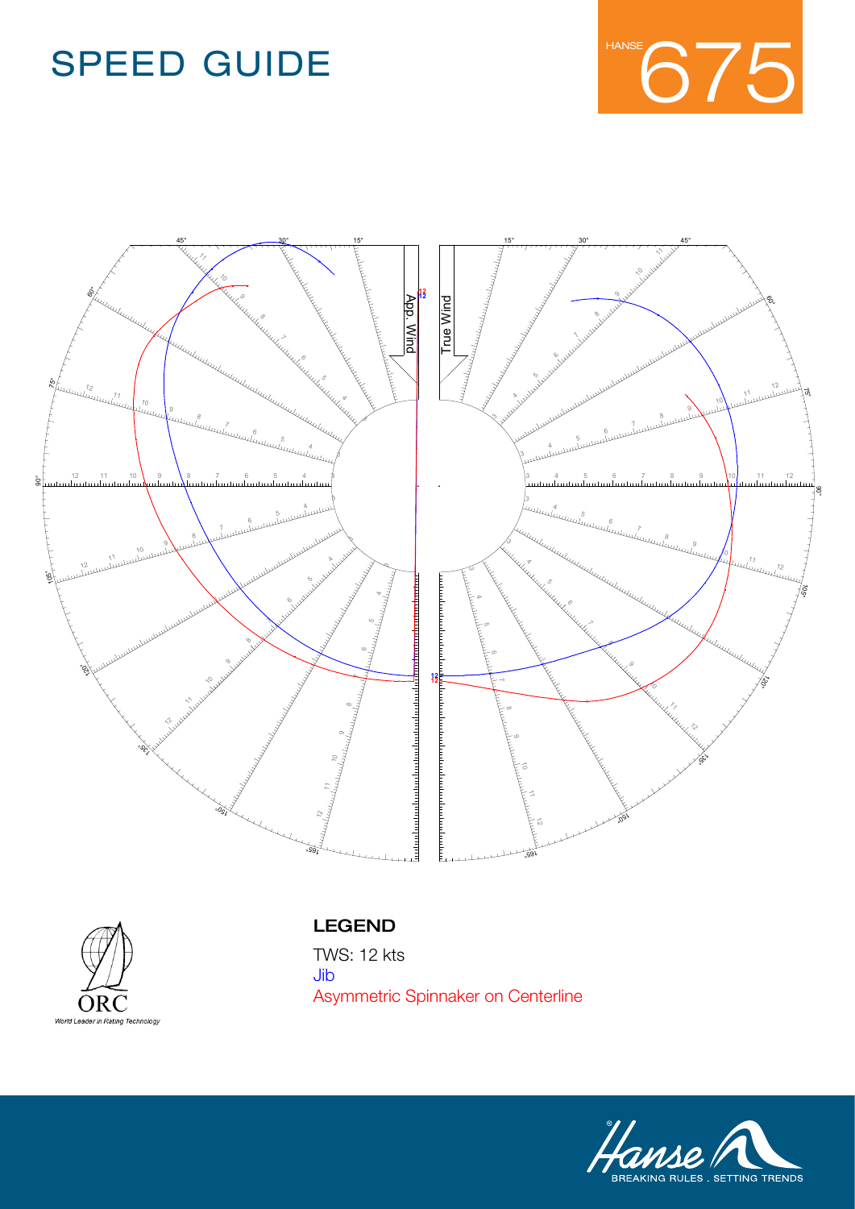





#### LEGEND

Name **Standartkeel-Reacher** Jib  $\overline{\mathbf{C}}$ **Asymmetric Spinnaker on Centerline** Asymmetric Spinnaker on CenterlineTWS: 12 kts

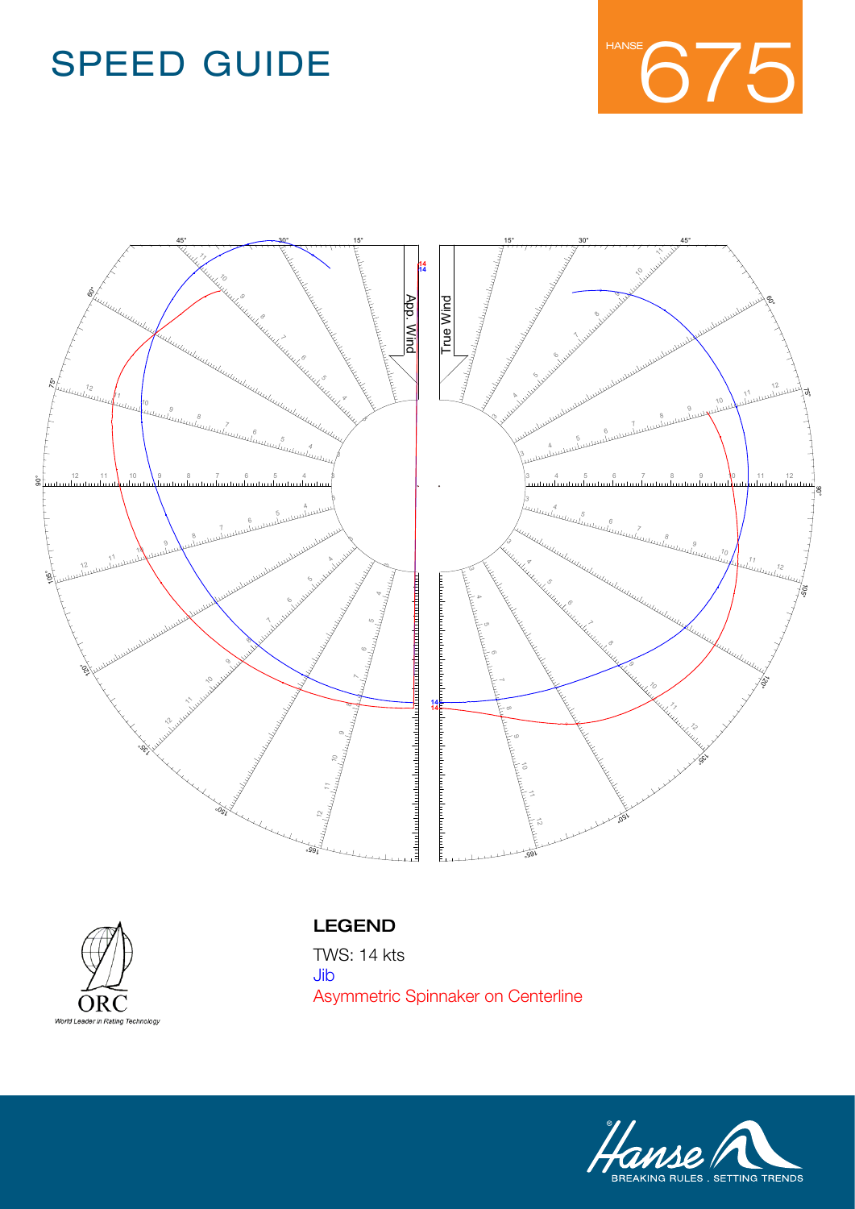





#### LEGEND

Name **Standartkeel-Reacher** Jib  $\overline{\mathbf{C}}$ **Asymmetric Spinnaker on Centerline** Asymmetric Spinnaker on CenterlineTWS: 14 kts

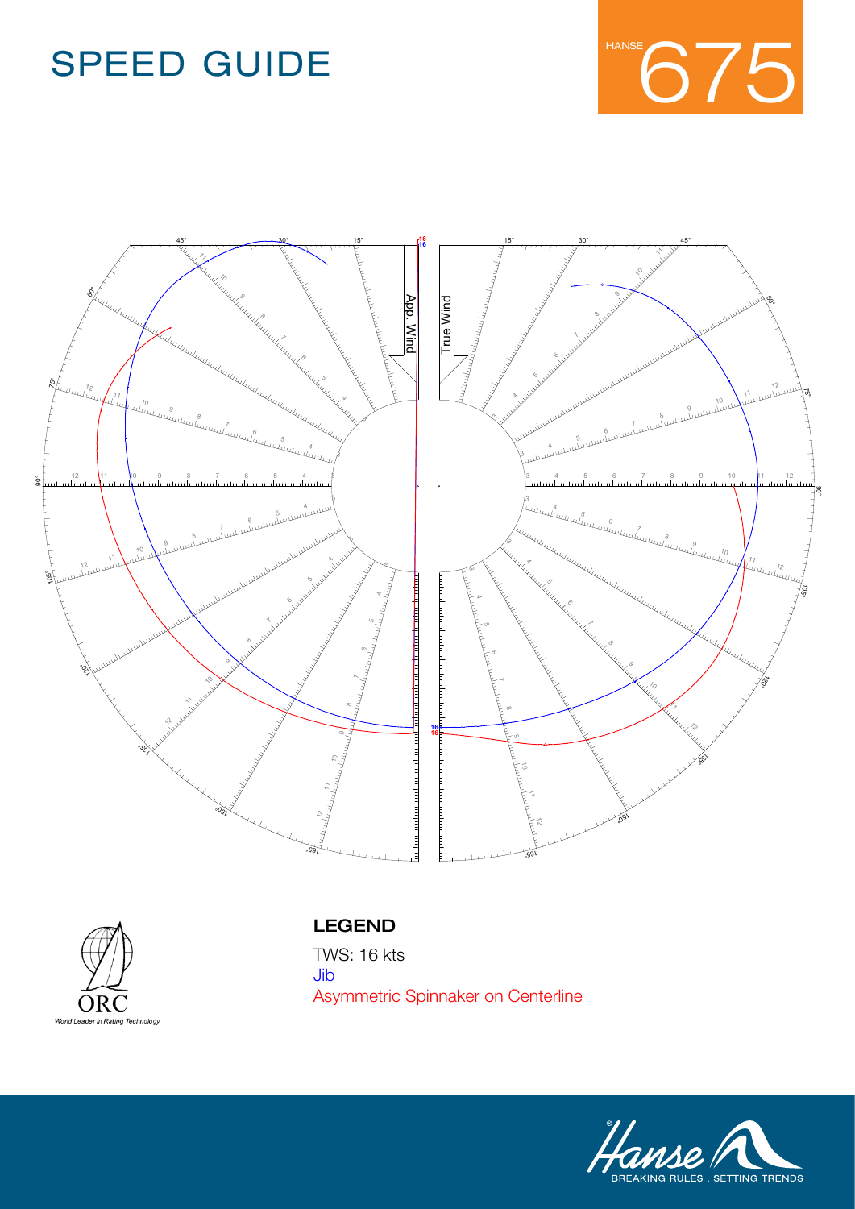





#### LEGEND

Name **Standartkeel-Reacher** Jib  $\overline{\mathbf{C}}$ **Asymmetric Spinnaker on Centerline** Asymmetric Spinnaker on CenterlineTWS: 16 kts

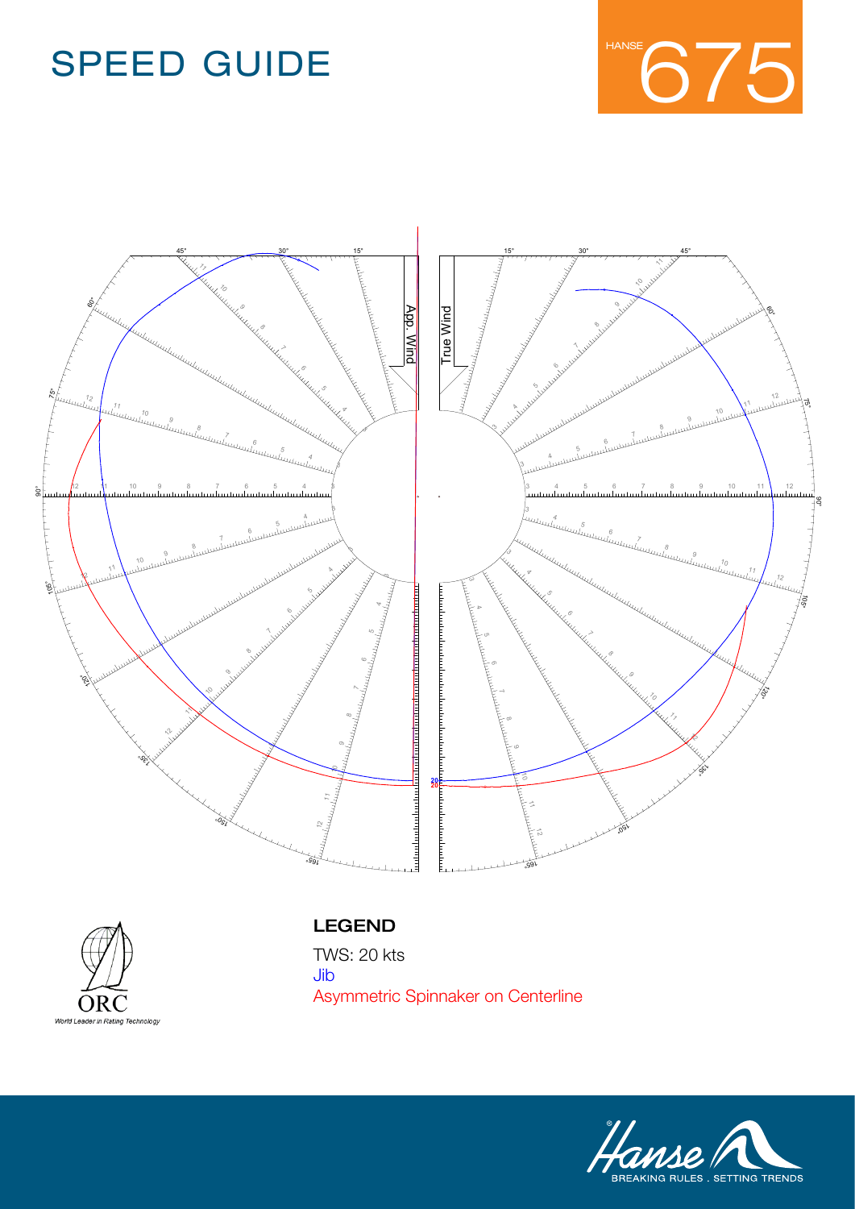





#### LEGEND

Asymmetric Spinnaker on Centerline TWS: 20 kts Jib

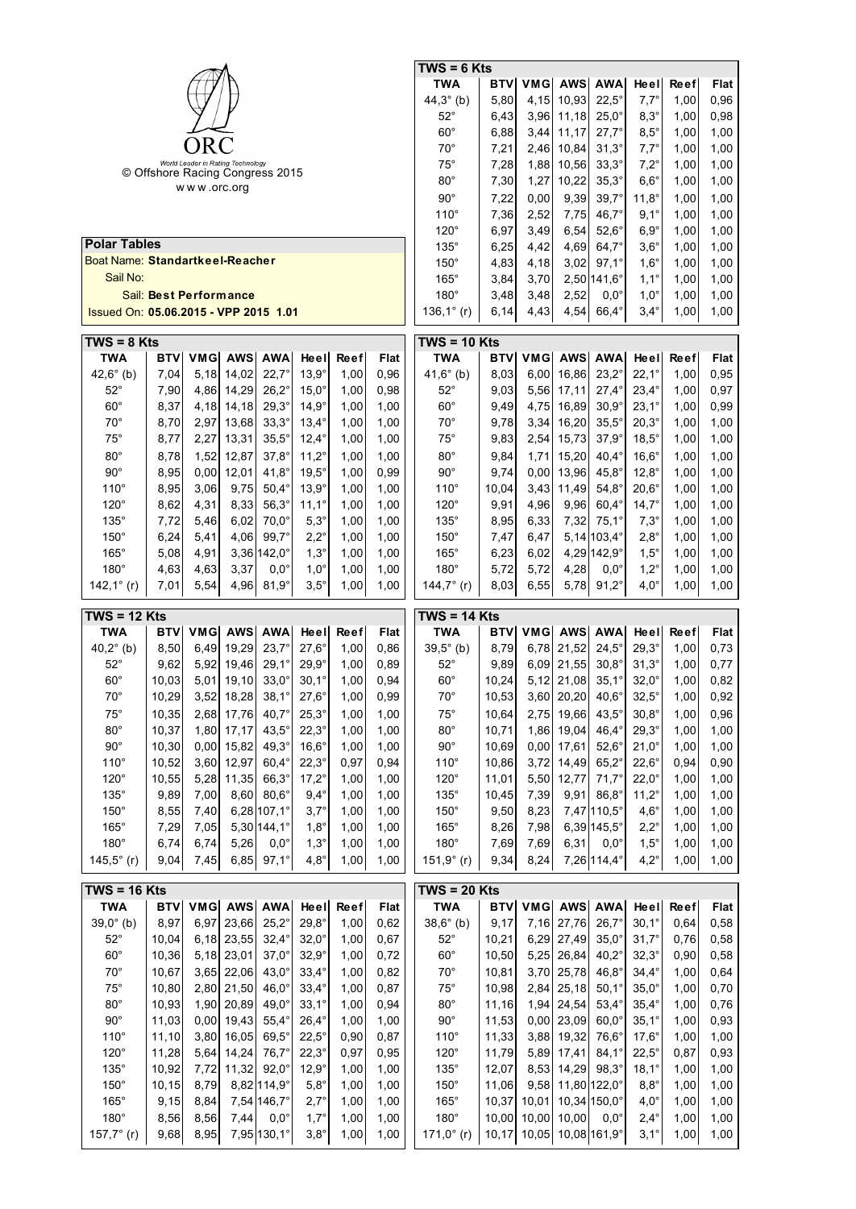|                                       |                                 |      |                                   |                      |                |             |             | $\overline{TWS} = 6$ Kts |            |       |                    |                       |                |             |             |
|---------------------------------------|---------------------------------|------|-----------------------------------|----------------------|----------------|-------------|-------------|--------------------------|------------|-------|--------------------|-----------------------|----------------|-------------|-------------|
|                                       |                                 |      |                                   |                      |                |             |             | TWA                      | <b>BTV</b> | VMG   | <b>AWS</b>         | AWA                   | Heel           | <b>Reef</b> | Flat        |
|                                       |                                 |      |                                   |                      |                |             |             | 44,3 $^{\circ}$ (b)      | 5,80       | 4,15  | 10,93              | $22,5^\circ$          | $7,7^\circ$    | 1,00        | 0,96        |
|                                       |                                 |      |                                   |                      |                |             |             | $52^{\circ}$             | 6,43       | 3,96  | 11,18              | $25,0^\circ$          | $8,3^\circ$    | 1,00        | 0,98        |
|                                       |                                 |      |                                   |                      |                |             |             | $60^\circ$               | 6,88       | 3,44  | 11,17              | $27,7^{\circ}$        | $8,5^{\circ}$  | 1,00        | 1,00        |
|                                       |                                 | ORC  |                                   |                      |                |             |             | $70^{\circ}$             | 7,21       | 2,46  | 10,84              | $31,3^\circ$          | $7,7^\circ$    | 1,00        | 1,00        |
|                                       |                                 |      | World Leader in Rating Technology |                      |                |             |             | $75^\circ$               | 7,28       | 1,88  | 10,56              | $33,3^\circ$          | $7,2^\circ$    | 1,00        | 1,00        |
|                                       | © Offshore Racing Congress 2015 |      |                                   |                      |                |             |             | $80^\circ$               | 7,30       | 1,27  | 10,22              | $35,3^\circ$          | $6,6^\circ$    | 1,00        | 1,00        |
| www.orc.org                           |                                 |      |                                   |                      |                |             |             | $90^{\circ}$             | 7,22       | 0,00  | 9,39               | $39,7^{\circ}$        | $11,8^{\circ}$ | 1,00        | 1,00        |
|                                       |                                 |      |                                   |                      |                |             |             | $110^\circ$              | 7,36       | 2,52  | 7,75               | $46,7^\circ$          | $9,1^{\circ}$  | 1,00        | 1,00        |
|                                       |                                 |      |                                   |                      |                |             |             | $120^\circ$              | 6,97       | 3,49  | 6,54               | $52,6^\circ$          | $6,9^\circ$    | 1,00        | 1,00        |
| <b>Polar Tables</b>                   |                                 |      |                                   |                      |                |             |             | $135^\circ$              | 6,25       | 4,42  | 4,69               | $64.7^\circ$          | $3,6^\circ$    | 1,00        | 1,00        |
| Boat Name: Standartkeel-Reacher       |                                 |      |                                   |                      |                |             |             | $150^\circ$              | 4,83       | 4,18  | 3,02               | $97,1^{\circ}$        | $1,6^\circ$    | 1,00        | 1,00        |
| Sail No:                              |                                 |      |                                   |                      |                |             |             | $165^\circ$              | 3,84       | 3,70  |                    | $2,50 141,6^{\circ}$  | $1,1^\circ$    | 1,00        | 1,00        |
|                                       | Sail: Best Performance          |      |                                   |                      |                |             |             | $180^\circ$              | 3,48       | 3,48  | 2,52               | $0,0^{\circ}$         | $1,0^\circ$    | 1,00        | 1,00        |
| Issued On: 05.06.2015 - VPP 2015 1.01 |                                 |      |                                   |                      |                |             |             | 136,1 $^{\circ}$ (r)     | 6,14       | 4,43  | 4,54               | $66,4^\circ$          | $3,4^\circ$    | 1,00        | 1,00        |
|                                       |                                 |      |                                   |                      |                |             |             |                          |            |       |                    |                       |                |             |             |
| $TWS = 8$ Kts                         |                                 |      |                                   |                      |                |             |             | $TWS = 10$ Kts           |            |       |                    |                       |                |             |             |
| <b>TWA</b>                            | BTV                             | VMG  | <b>AWS</b>                        | <b>AWA</b>           | Heel           | <b>Reef</b> | Flat        | <b>TWA</b>               | BTV        | VMG   | <b>AWS</b>         | <b>AWA</b>            | Heel           | <b>Reef</b> | Flat        |
| 42,6 $^{\circ}$ (b)                   | 7,04                            | 5,18 | 14.02                             | $22,7^{\circ}$       | $13,9^\circ$   | 1,00        | 0,96        | 41,6 $^{\circ}$ (b)      | 8,03       | 6,00  | 16,86              | $23,2^{\circ}$        | $22,1^{\circ}$ | 1,00        | 0,95        |
| $52^\circ$                            | 7,90                            | 4,86 | 14,29                             | $26,2^\circ$         | $15,0^\circ$   | 1,00        | 0,98        | $52^{\circ}$             | 9,03       | 5,56  | 17,11              | $27,4^\circ$          | $23,4^\circ$   | 1,00        | 0,97        |
| $60^\circ$                            | 8,37                            | 4,18 | 14,18                             | $29.3^\circ$         | $14.9^\circ$   | 1,00        | 1,00        | $60^\circ$               | 9,49       | 4,75  | 16,89              | $30,9^\circ$          | $23,1^{\circ}$ | 1,00        | 0,99        |
| $70^\circ$                            | 8,70                            | 2,97 | 13,68                             | $33,3^\circ$         | $13,4^{\circ}$ | 1,00        | 1,00        | $70^{\circ}$             | 9,78       | 3,34  | 16,20              | $35,5^\circ$          | $20,3^\circ$   | 1,00        | 1,00        |
| $75^\circ$                            | 8,77                            | 2,27 | 13,31                             | $35,5^\circ$         | $12,4^{\circ}$ | 1,00        | 1,00        | $75^\circ$               | 9,83       | 2,54  | 15,73              | $37,9^{\circ}$        | $18,5^\circ$   | 1,00        | 1,00        |
| $80^\circ$                            | 8,78                            | 1,52 | 12,87                             | $37.8^{\circ}$       | $11,2^{\circ}$ | 1,00        | 1,00        | $80^\circ$               | 9,84       | 1,71  | 15,20              | $40,4^\circ$          | $16,6^\circ$   | 1,00        | 1,00        |
| $90^{\circ}$                          | 8,95                            | 0,00 | 12,01                             | $41,8^{\circ}$       | $19,5^\circ$   | 1,00        | 0,99        | $90^\circ$               | 9,74       | 0,00  | 13,96              | $45,8^\circ$          | $12,8^{\circ}$ | 1,00        | 1,00        |
| $110^\circ$                           | 8,95                            | 3,06 | 9,75                              | $50.4^\circ$         | $13,9^\circ$   | 1,00        | 1,00        | $110^\circ$              | 10,04      | 3,43  | 11,49              | $54,8^{\circ}$        | $20,6^\circ$   | 1,00        | 1,00        |
| $120^\circ$                           | 8,62                            | 4,31 | 8,33                              | $56,3^\circ$         | $11,1^{\circ}$ | 1,00        | 1,00        | $120^\circ$              | 9,91       | 4,96  | 9,96               | $60,4^\circ$          | $14,7^{\circ}$ | 1,00        | 1,00        |
| $135^\circ$                           | 7,72                            | 5,46 | 6,02                              | $70,0^\circ$         | $5,3^\circ$    | 1,00        | 1,00        | $135^\circ$              | 8,95       | 6,33  | 7,32               | $75,1^{\circ}$        | $7,3^\circ$    | 1,00        | 1,00        |
| $150^\circ$                           | 6,24                            | 5,41 | 4,06                              | $99.7^\circ$         | $2,2^{\circ}$  | 1,00        | 1,00        | $150^\circ$              | 7,47       | 6,47  |                    | $5,14 103,4^{\circ}$  | $2,8^\circ$    | 1,00        | 1,00        |
| $165^\circ$                           | 5,08                            | 4,91 |                                   | $3,36 142,0^{\circ}$ | $1,3^\circ$    | 1,00        | 1,00        | $165^\circ$              | 6,23       | 6,02  |                    | 4,29 142,9°           | $1,5^\circ$    | 1,00        | 1,00        |
| $180^\circ$                           | 4,63                            | 4,63 | 3,37                              | $0.0^\circ$          | $1,0^\circ$    | 1,00        | 1,00        | $180^\circ$              | 5,72       | 5,72  | 4,28               | $0.0^\circ$           | $1,2^\circ$    | 1,00        | 1,00        |
| 142,1 $^{\circ}$ (r)                  | 7,01                            | 5,54 | 4,96                              | $81,9^\circ$         | $3,5^\circ$    | 1,00        | 1,00        | 144,7 $^{\circ}$ (r)     | 8,03       | 6,55  | 5,78               | $91,2^{\circ}$        | $4,0^\circ$    | 1,00        | 1,00        |
|                                       |                                 |      |                                   |                      |                |             |             |                          |            |       |                    |                       |                |             |             |
|                                       |                                 |      |                                   |                      |                |             |             |                          |            |       |                    |                       |                |             |             |
| $TWS = 12$ Kts                        |                                 |      |                                   |                      |                |             |             | $TWS = 14$ Kts           |            |       |                    |                       |                |             |             |
| <b>TWA</b>                            | BTV                             | VMG  | <b>AWS</b>                        | <b>AWA</b>           | Heel           | <b>Reef</b> | Flat        | <b>TWA</b>               | BTV        | VMG   | AWS                | <b>AWA</b>            | Heel           | <b>Reef</b> | Flat        |
| 40,2 $^{\circ}$ (b)                   | 8,50                            | 6,49 | 19,29                             | $23,7^{\circ}$       | $27,6^\circ$   | 1,00        | 0,86        | $39,5^{\circ}$ (b)       | 8,79       |       | 6,78 21,52         | $24,5^\circ$          | $29,3^\circ$   | 1,00        | 0,73        |
| $52^{\circ}$                          | 9,62                            | 5,92 | 19.46                             | $29.1^{\circ}$       | $29.9^\circ$   | 1,00        | 0,89        | $52^{\circ}$             | 9,89       |       | 6,09 21,55         | $30.8^\circ$          | $31.3^\circ$   | 1,00        | 0,77        |
| $60^\circ$                            | 10,03                           | 5,01 | 19,10                             | $33,0^\circ$         | $30,1^\circ$   | 1,00        | 0,94        | $60^\circ$               | 10,24      |       | 5,12 21,08         | $35,1^{\circ}$        | $32,0^\circ$   | 1,00        | 0,82        |
| $70^{\circ}$                          | 10,29                           |      | 3,52 18,28                        | $38,1^{\circ}$       | $27,6^{\circ}$ | 1,00        | 0,99        | $70^{\circ}$             | 10,53      |       | 3,60 20,20 40,6°   |                       | $32,5^{\circ}$ | 1,00        | 0,92        |
| $75^\circ$                            | 10,35                           | 2,68 | 17,76                             | $40,7^{\circ}$       | $25,3^\circ$   | 1,00        | 1,00        | $75^{\circ}$             | 10,64      | 2,75  | 19,66              | $43,5^\circ$          | $30,8^\circ$   | 1,00        | 0,96        |
| $80^\circ$                            | 10,37                           | 1,80 | 17,17                             | $43,5^\circ$         | $22,3^\circ$   | 1,00        | 1,00        | $80^\circ$               | 10,71      | 1,86  | 19,04              | $46,4^\circ$          | $29,3^\circ$   | 1,00        | 1,00        |
| $90^\circ$                            | 10,30                           | 0,00 | 15,82                             | $49,3^\circ$         | $16,6^\circ$   | 1,00        | 1,00        | $90^\circ$               | 10,69      | 0,00  | 17,61              | $52,6^\circ$          | $21,0^{\circ}$ | 1,00        | 1,00        |
| $110^\circ$                           | 10,52                           | 3,60 | 12,97                             | $60,4^\circ$         | $22,3^\circ$   | 0,97        | 0,94        | $110^\circ$              | 10,86      | 3,72  | 14,49              | $65,2^\circ$          | $22,6^\circ$   | 0,94        | 0,90        |
| $120^\circ$                           | 10,55                           | 5,28 | 11,35                             | $66,3^\circ$         | $17,2^{\circ}$ | 1,00        | 1,00        | $120^\circ$              | 11,01      | 5,50  | 12,77              | $71,7^{\circ}$        | $22,0^\circ$   | 1,00        | 1,00        |
| $135^\circ$                           | 9,89                            | 7,00 | 8,60                              | $80,6^{\circ}$       | $9,4^\circ$    | 1,00        | 1,00        | $135^\circ$              | 10,45      | 7,39  | 9,91               | $86,8^\circ$          | $11,2^{\circ}$ | 1,00        | 1,00        |
| $150^\circ$                           | 8,55                            | 7,40 |                                   | 6,28 107,1°          | $3,7^\circ$    | 1,00        | 1,00        | $150^\circ$              | 9,50       | 8,23  |                    | 7,47 110,5°           | $4,6^\circ$    | 1,00        | 1,00        |
| 165°                                  | 7,29                            | 7,05 |                                   | 5,30 144,1°          | $1,8^\circ$    | 1,00        | 1,00        | 165°                     | 8,26       | 7,98  |                    | 6,39 145,5°           | $2,2^{\circ}$  | 1,00        | 1,00        |
| $180^\circ$                           | 6,74                            | 6,74 | 5,26                              | $0,0^{\circ}$        | $1,3^\circ$    | 1,00        | 1,00        | $180^\circ$              | 7,69       | 7,69  | 6,31               | $0,0^{\circ}$         | $1,5^\circ$    | 1,00        | 1,00        |
| 145,5 $^{\circ}$ (r)                  | 9,04                            | 7,45 | 6,85                              | $97,1^{\circ}$       | $4,8^\circ$    | 1,00        | 1,00        | 151,9°(r)                | 9,34       | 8,24  |                    | 7,26 114,4°           | $4,2^\circ$    | 1,00        | 1,00        |
| $TWS = 16$ Kts                        |                                 |      |                                   |                      |                |             |             | $TWS = 20$ Kts           |            |       |                    |                       |                |             |             |
| <b>TWA</b>                            | <b>BTV</b>                      | VMG  | <b>AWS</b>                        | <b>AWA</b>           | Heel           | Reef        | <b>Flat</b> | <b>TWA</b>               | <b>BTV</b> | VMG   | <b>AWS</b>         | <b>AWA</b>            | Heel           | <b>Reef</b> | <b>Flat</b> |
| $39,0^{\circ}$ (b)                    | 8,97                            | 6,97 | 23,66                             | $25,2^{\circ}$       | $29,8^\circ$   | 1,00        | 0,62        | $38,6^{\circ}$ (b)       | 9,17       | 7,16  | 27,76              | $26,7^\circ$          | $30,1^{\circ}$ | 0,64        | 0,58        |
| $52^{\circ}$                          | 10,04                           | 6,18 | 23,55                             | $32,4^\circ$         | $32,0^\circ$   | 1,00        | 0,67        | $52^{\circ}$             | 10,21      | 6,29  | 27,49              | $35,0^\circ$          | $31,7^{\circ}$ | 0,76        | 0,58        |
| $60^\circ$                            | 10,36                           | 5,18 | 23,01                             | $37,0^{\circ}$       | $32,9^{\circ}$ | 1,00        | 0,72        | $60^\circ$               | 10,50      | 5,25  | 26,84              | $40,2^{\circ}$        | $32,3^\circ$   | 0,90        | 0,58        |
| $70^{\circ}$                          | 10,67                           | 3,65 | 22,06                             | $43,0^\circ$         | $33,4^\circ$   | 1,00        | 0,82        | $70^{\circ}$             | 10,81      | 3,70  | 25,78              | $46,8^\circ$          | $34,4^{\circ}$ | 1,00        | 0,64        |
| $75^\circ$                            | 10,80                           | 2,80 | 21,50                             | $46,0^\circ$         | $33,4^\circ$   | 1,00        | 0,87        | $75^\circ$               | 10,98      | 2,84  | 25,18              | $50,1^{\circ}$        | $35,0^\circ$   | 1,00        | 0,70        |
| $80^\circ$                            | 10,93                           | 1,90 | 20,89                             | $49,0^\circ$         | $33,1^{\circ}$ | 1,00        | 0,94        | $80^\circ$               | 11,16      | 1,94  | 24,54              | $53,4^\circ$          | $35,4^{\circ}$ | 1,00        | 0,76        |
| $90^\circ$                            | 11,03                           | 0,00 | 19,43                             | $55,4^\circ$         | $26,4^{\circ}$ | 1,00        | 1,00        | $90^\circ$               | 11,53      | 0,00  | 23,09              | $60,0^\circ$          | $35,1^{\circ}$ | 1,00        | 0,93        |
| $110^\circ$                           | 11,10                           | 3,80 | 16,05                             | $69,5^{\circ}$       | $22,5^\circ$   | 0,90        | 0,87        | $110^\circ$              | 11,33      | 3,88  | 19,32              | $76,6^\circ$          | $17,6^\circ$   | 1,00        | 1,00        |
| 120°                                  | 11,28                           | 5,64 | 14,24                             | $76,7^\circ$         | $22,3^\circ$   | 0,97        | 0,95        | $120^\circ$              | 11,79      | 5,89  | 17,41              | $84,1^{\circ}$        | $22,5^\circ$   | 0,87        | 0,93        |
| $135^\circ$                           | 10,92                           | 7,72 | 11,32                             | $92,0^{\circ}$       | $12,9^\circ$   | 1,00        | 1,00        | $135^\circ$              | 12,07      | 8,53  | 14,29              | $98,3^\circ$          | $18,1^{\circ}$ | 1,00        | 1,00        |
| $150^\circ$                           | 10,15                           | 8,79 |                                   | 8,82 114,9°          | $5,8^\circ$    | 1,00        | 1,00        | $150^\circ$              | 11,06      | 9,58  |                    | 11,80 122,0°          | $8,8^\circ$    | 1,00        | 1,00        |
| 165°                                  | 9,15                            | 8,84 |                                   | 7,54 146,7°          | $2,7^{\circ}$  | 1,00        | 1,00        | $165^\circ$              | 10,37      | 10,01 |                    | $10,34 150,0^{\circ}$ | $4,0^\circ$    | 1,00        | 1,00        |
| $180^\circ$                           | 8,56                            | 8,56 | 7,44                              | $0,0^{\circ}$        | $1,7^\circ$    | 1,00        | 1,00        | $180^\circ$              | 10,00      | 10,00 | 10,00              | $0,0^{\circ}$         | $2,4^{\circ}$  | 1,00        | 1,00        |
| 157,7 $^{\circ}$ (r)                  | 9,68                            | 8,95 |                                   | 7,95 130,1°          | $3,8^\circ$    | 1,00        | 1,00        | 171,0 $^{\circ}$ (r)     | 10, 17     |       | 10,05 10,08 161,9° |                       | $3,1^\circ$    | 1,00        | 1,00        |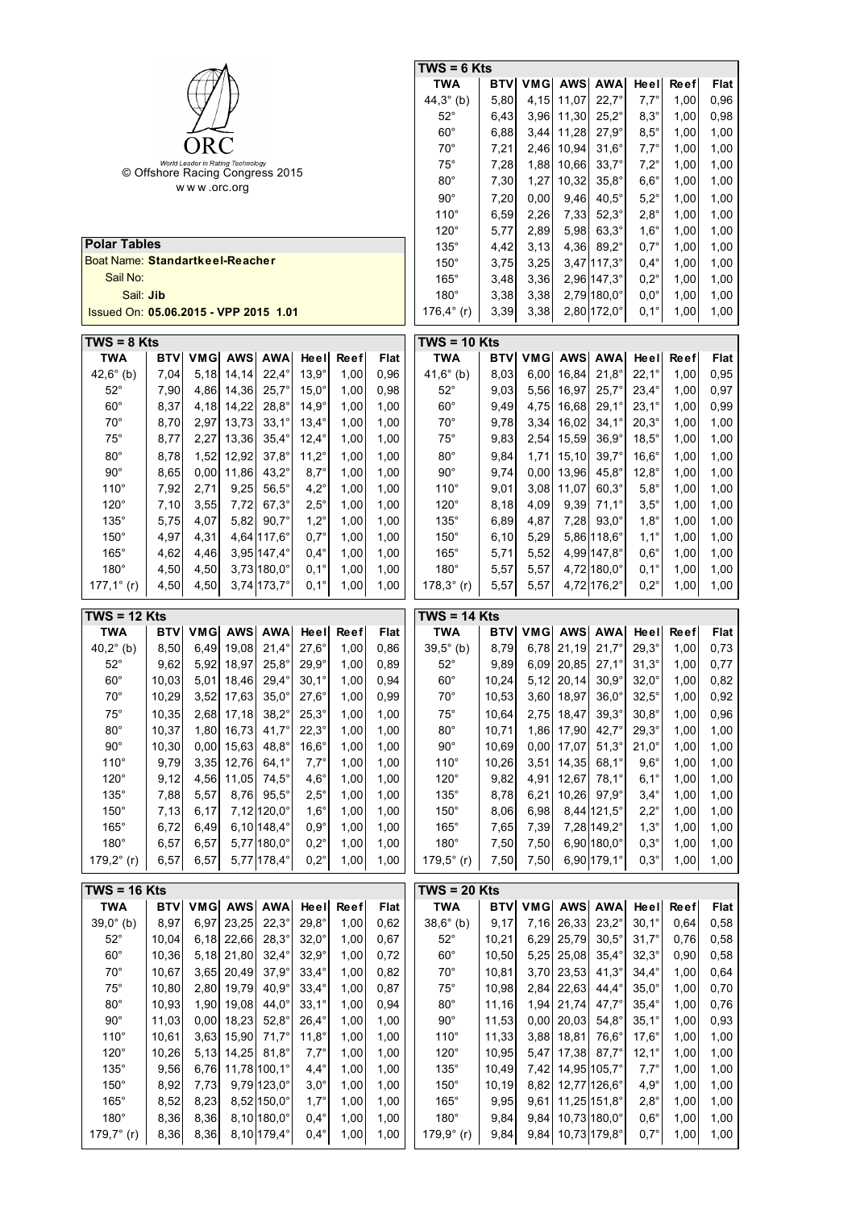|                                                |            |      |                                   |                      |                |             |             | TWS = 6 Kts          |            |            |              |                      |                |              |             |
|------------------------------------------------|------------|------|-----------------------------------|----------------------|----------------|-------------|-------------|----------------------|------------|------------|--------------|----------------------|----------------|--------------|-------------|
|                                                |            |      |                                   |                      |                |             |             | TWA                  | BTV        | <b>VMG</b> | <b>AWS</b>   | <b>AWA</b>           | Heel           | <b>Reef</b>  | Flat        |
|                                                |            |      |                                   |                      |                |             |             | $44,3^{\circ}$ (b)   | 5,80       | 4,15       | 11,07        | $22.7^{\circ}$       | $7,7^\circ$    | 1,00         | 0,96        |
|                                                |            |      |                                   |                      |                |             |             | $52^\circ$           | 6,43       | 3,96       | 11,30        | $25,2^{\circ}$       | $8,3^\circ$    | 1,00         | 0,98        |
|                                                |            |      |                                   |                      |                |             |             | $60^{\circ}$         | 6,88       | 3,44       | 11,28        | $27,9^\circ$         | $8,5^{\circ}$  | 1,00         | 1,00        |
|                                                |            | ORC  |                                   |                      |                |             |             | $70^{\circ}$         | 7,21       | 2,46       | 10,94        | $31,6^\circ$         | $7,7^\circ$    | 1,00         | 1,00        |
|                                                |            |      | World Leader in Rating Technology |                      |                |             |             | $75^{\circ}$         | 7,28       | 1,88       | 10,66        | $33,7^{\circ}$       | $7,2^\circ$    | 1,00         | 1,00        |
| © Offshore Racing Congress 2015<br>www.orc.org |            |      |                                   |                      |                |             |             | $80^\circ$           | 7,30       | 1,27       | 10,32        | $35,8^\circ$         | $6,6^\circ$    | 1,00         | 1,00        |
|                                                |            |      |                                   |                      |                |             |             | $90^{\circ}$         | 7,20       | 0,00       | 9,46         | $40,5^\circ$         | $5,2^\circ$    | 1,00         | 1,00        |
|                                                |            |      |                                   |                      |                |             |             | $110^\circ$          | 6,59       | 2,26       | 7,33         | $52,3^\circ$         | $2.8^\circ$    | 1,00         | 1,00        |
|                                                |            |      |                                   |                      |                |             |             | 120°                 | 5,77       | 2,89       | 5,98         | $63,3^\circ$         | $1,6^\circ$    | 1,00         | 1,00        |
| <b>Polar Tables</b>                            |            |      |                                   |                      |                |             |             | $135^\circ$          | 4,42       | 3,13       | 4,36         | $89.2^\circ$         | $0,7^\circ$    | 1,00         | 1,00        |
| Boat Name: Standartkeel-Reacher                |            |      |                                   |                      |                |             |             | $150^\circ$          | 3,75       | 3,25       |              | $3,47$ 117,3°        | $0,4^{\circ}$  | 1,00         | 1,00        |
| Sail No:                                       |            |      |                                   |                      |                |             |             | $165^\circ$          | 3,48       | 3,36       |              | 2,96 147,3°          | $0,2^{\circ}$  | 1,00         | 1,00        |
| Sail: Jib                                      |            |      |                                   |                      |                |             |             | $180^\circ$          | 3,38       | 3,38       |              | $2,79 180,0^{\circ}$ | $0,0^{\circ}$  | 1,00         | 1,00        |
| Issued On: 05.06.2015 - VPP 2015 1.01          |            |      |                                   |                      |                |             |             | 176,4 $^{\circ}$ (r) | 3,39       | 3,38       |              | 2,80 172,0°          | $0,1^\circ$    | 1,00         | 1,00        |
|                                                |            |      |                                   |                      |                |             |             |                      |            |            |              |                      |                |              |             |
| $TWS = 8$ Kts                                  |            |      |                                   |                      |                |             |             | $TWS = 10$ Kts       |            |            |              |                      |                |              |             |
| <b>TWA</b>                                     | <b>BTV</b> | VMG  | <b>AWS</b>                        | <b>AWA</b>           | Heel           | <b>Reef</b> | Flat        | TWA                  | BTV        | VMG        | <b>AWS</b>   | <b>AWA</b>           | Heel           | Reef         | Flat        |
| $42,6^{\circ}$ (b)                             | 7,04       | 5,18 | 14,14                             | $22,4^\circ$         | $13,9^\circ$   | 1,00        | 0,96        | 41,6 $^{\circ}$ (b)  | 8,03       | 6,00       | 16,84        | $21.8^\circ$         | $22.1^{\circ}$ | 1,00         | 0,95        |
| $52^{\circ}$                                   | 7,90       | 4,86 | 14,36                             | $25.7^{\circ}$       | $15.0^\circ$   | 1,00        | 0,98        | $52^\circ$           | 9,03       | 5,56       | 16,97        | $25.7^{\circ}$       | $23.4^\circ$   | 1,00         | 0,97        |
| $60^\circ$                                     | 8,37       | 4,18 | 14,22                             | $28,8^\circ$         | $14.9^\circ$   | 1,00        | 1,00        | $60^\circ$           | 9,49       | 4,75       | 16,68        | $29,1^{\circ}$       | $23,1^{\circ}$ | 1,00         | 0,99        |
| $70^{\circ}$                                   | 8,70       | 2,97 | 13,73                             | $33,1^{\circ}$       | $13,4^\circ$   | 1,00        | 1,00        | $70^{\circ}$         | 9,78       | 3,34       | 16,02        | $34,1^{\circ}$       | $20,3^\circ$   | 1,00         | 1,00        |
| $75^\circ$                                     | 8,77       | 2,27 | 13,36                             | $35,4^\circ$         | $12,4^{\circ}$ | 1,00        | 1,00        | $75^\circ$           | 9,83       | 2,54       | 15,59        | $36,9^\circ$         | $18,5^\circ$   | 1,00         | 1,00        |
| $80^\circ$                                     | 8,78       | 1,52 | 12,92                             | $37,8^{\circ}$       | $11,2^{\circ}$ | 1,00        | 1,00        | $80^\circ$           | 9,84       | 1,71       | 15,10        | $39,7^{\circ}$       | $16,6^\circ$   | 1,00         | 1,00        |
| $90^\circ$                                     | 8,65       | 0,00 | 11,86                             | $43,2^{\circ}$       | $8,7^\circ$    | 1,00        | 1,00        | $90^\circ$           | 9,74       | 0,00       | 13,96        | $45,8^\circ$         | $12,8^\circ$   | 1,00         | 1,00        |
| $110^\circ$                                    | 7,92       | 2,71 | 9,25                              | $56,5^\circ$         | $4,2^\circ$    | 1,00        | 1,00        | $110^\circ$          | 9,01       | 3,08       | 11,07        | $60,3^\circ$         | $5,8^\circ$    | 1,00         | 1,00        |
| $120^\circ$                                    | 7,10       | 3,55 | 7,72                              | $67,3^\circ$         | $2,5^{\circ}$  | 1,00        | 1,00        | $120^\circ$          | 8,18       | 4,09       | 9,39         | $71,1^{\circ}$       | $3,5^{\circ}$  | 1,00         | 1,00        |
| $135^\circ$                                    | 5,75       | 4,07 | 5,82                              | $90.7^\circ$         | $1,2^\circ$    | 1,00        | 1,00        | $135^\circ$          | 6,89       | 4,87       | 7,28         | $93.0^\circ$         | $1,8^\circ$    | 1,00         | 1,00        |
| $150^\circ$                                    | 4,97       | 4,31 |                                   | 4,64 117,6°          | $0,7^\circ$    | 1,00        | 1,00        | $150^\circ$          | 6, 10      | 5,29       |              | 5,86 118,6°          | $1,1^\circ$    | 1,00         | 1,00        |
| $165^\circ$                                    | 4,62       | 4,46 |                                   | 3,95 147,4°          | $0,4^{\circ}$  | 1,00        | 1,00        | $165^\circ$          | 5,71       | 5,52       |              | 4,99 147,8°          | $0,6^\circ$    | 1,00         | 1,00        |
| $180^\circ$                                    | 4,50       | 4,50 |                                   | $3,73 180,0^{\circ}$ | $0,1^\circ$    | 1,00        | 1,00        | $180^\circ$          | 5,57       | 5,57       |              | 4,72 180,0°          | $0,1^\circ$    | 1,00         | 1,00        |
| $177,1^{\circ}$ (r)                            | 4,50       | 4,50 |                                   | 3,74 173,7°          | $0,1^\circ$    | 1,00        | 1,00        | $178,3^{\circ}$ (r)  | 5,57       | 5,57       |              | 4,72 176,2°          | $0,2^\circ$    | 1,00         | 1,00        |
|                                                |            |      |                                   |                      |                |             |             |                      |            |            |              |                      |                |              |             |
|                                                |            |      |                                   |                      |                |             |             |                      |            |            |              |                      |                |              |             |
| $TWS = 12$ Kts                                 |            |      |                                   |                      |                |             |             | $TWS = 14$ Kts       |            |            |              |                      |                |              |             |
| <b>TWA</b>                                     | <b>BTV</b> | VMG  | <b>AWS</b>                        | <b>AWA</b>           | Heel           | Reef        | Flat        | <b>TWA</b>           | BTV        | <b>VMG</b> | AWS          | <b>AWA</b>           | Heel           | Reef         | Flat        |
| $40,2^{\circ}$ (b)                             | 8,50       | 6,49 | 19,08                             | $21.4^{\circ}$       | $27,6^\circ$   | 1,00        | 0,86        | $39,5^{\circ}$ (b)   | 8,79       | 6,78       | 21,19        | $21,7^{\circ}$       | $29,3^\circ$   | 1,00         | 0,73        |
| $52^\circ$                                     | 9,62       | 5,92 | 18,97                             | $25,8^\circ$         | $29,9^\circ$   | 1,00        | 0,89        | $52^\circ$           | 9,89       | 6,09       | 20,85        | $27,1^{\circ}$       | $31,3^\circ$   | 1,00         | 0,77        |
| $60^\circ$                                     | 10,03      | 5,01 | 18,46                             | $29.4^\circ$         | $30,1^\circ$   | 1,00        | 0,94        | $60^\circ$           | 10,24      |            | $5,12$ 20,14 | $30,9^\circ$         | $32,0^\circ$   | 1,00         | 0,82        |
| $70^{\circ}$                                   | 10,29      |      | $3,52$ 17,63                      | $35,0^\circ$         | $27,6^\circ$   | 1,00        | 0,99        | $70^{\circ}$         | 10,53      |            | 3,60 18,97   | $36,0^\circ$         | $32,5^\circ$   | 1,00         | 0,92        |
| $75^\circ$                                     | 10,35      | 2,68 | 17,18                             | $38,2^{\circ}$       | $25,3^\circ$   | 1,00        | 1,00        | $75^\circ$           | 10,64      | 2,75       | 18,47        | $39,3^\circ$         | $30,8^\circ$   | 1,00         | 0,96        |
| $80^\circ$                                     | 10,37      | 1,80 | 16,73                             | $41,7^{\circ}$       | $22,3^\circ$   | 1,00        | 1,00        | $80^\circ$           | 10,71      | 1,86       | 17,90        | $42,7^{\circ}$       | $29,3^\circ$   | 1,00         | 1,00        |
| $90^\circ$                                     | 10,30      | 0,00 | 15,63                             | $48,8^\circ$         | $16,6^\circ$   | 1,00        | 1,00        | $90^\circ$           | 10,69      | 0,00       | 17,07        | $51,3^\circ$         | $21,0^\circ$   | 1,00         | 1,00        |
| $110^\circ$                                    | 9,79       | 3,35 | 12,76                             | $64,1^{\circ}$       | $7,7^\circ$    | 1,00        | 1,00        | $110^\circ$          | 10,26      | 3,51       | 14,35        | $68,1^\circ$         | $9,6^\circ$    | 1,00         | 1,00        |
| $120^\circ$                                    | 9,12       | 4,56 | 11,05                             | $74,5^\circ$         | $4,6^{\circ}$  | 1,00        | 1,00        | $120^\circ$          | 9,82       | 4,91       | 12,67        | $78,1^{\circ}$       | $6,1^\circ$    | 1,00         | 1,00        |
| $135^\circ$                                    | 7,88       | 5,57 | 8,76                              | $95,5^\circ$         | $2,5^{\circ}$  | 1,00        | 1,00        | $135^\circ$          | 8,78       | 6,21       | 10,26        | $97,9^\circ$         | $3,4^{\circ}$  | 1,00         | 1,00        |
| $150^\circ$                                    | 7,13       | 6,17 |                                   | 7,12 120,0°          | $1,6^\circ$    | 1,00        | 1,00        | $150^\circ$          | 8,06       | 6,98       |              | 8,44 121,5°          | $2,2^{\circ}$  | 1,00<br>1,00 | 1,00        |
| $165^\circ$                                    | 6,72       | 6,49 |                                   | $6,10 148,4^{\circ}$ | $0,9^\circ$    | 1,00        | 1,00        | 165°                 | 7,65       | 7,39       |              | 7,28 149,2°          | $1,3^\circ$    |              | 1,00        |
| $180^\circ$                                    | 6,57       | 6,57 |                                   | 5,77 180,0°          | $0,2^{\circ}$  | 1,00        | 1,00        | $180^\circ$          | 7,50       | 7,50       |              | 6,90 180,0°          | $0,3^\circ$    | 1,00         | 1,00        |
| 179,2° (r)                                     | 6,57       | 6,57 |                                   | 5,77 178,4°          | $0,2^{\circ}$  | 1,00        | 1,00        | $179,5^{\circ}$ (r)  | 7,50       | 7,50       |              | 6,90 179,1°          | $0,3^\circ$    | 1,00         | 1,00        |
| $TWS = 16$ Kts                                 |            |      |                                   |                      |                |             |             | $TWS = 20$ Kts       |            |            |              |                      |                |              |             |
| <b>TWA</b>                                     | <b>BTV</b> | VMG  | <b>AWS</b>                        | <b>AWA</b>           | Heel           | <b>Reef</b> | <b>Flat</b> | <b>TWA</b>           | <b>BTV</b> | VMG        | <b>AWS</b>   | <b>AWA</b>           | Heel           | Reef         | <b>Flat</b> |
| $39,0^{\circ}$ (b)                             | 8,97       | 6,97 | 23,25                             | $22,3^\circ$         | $29,8^\circ$   | 1,00        | 0,62        | $38,6^{\circ}$ (b)   | 9,17       | 7,16       | 26,33        | $23,2^{\circ}$       | $30,1^\circ$   | 0,64         | 0,58        |
| $52^{\circ}$                                   | 10,04      | 6,18 | 22,66                             | $28,3^\circ$         | $32,0^\circ$   | 1,00        | 0,67        | $52^{\circ}$         | 10,21      | 6,29       | 25,79        | $30,5^\circ$         | $31,7^\circ$   | 0,76         | 0,58        |
| $60^\circ$                                     | 10,36      | 5,18 | 21,80                             | $32,4^{\circ}$       | $32,9^\circ$   | 1,00        | 0,72        | $60^\circ$           | 10,50      | 5,25       | 25,08        | $35,4^{\circ}$       | $32,3^{\circ}$ | 0,90         | 0,58        |
| $70^{\circ}$                                   | 10,67      | 3,65 | 20,49                             | $37,9^{\circ}$       | $33,4^\circ$   | 1,00        | 0,82        | $70^{\circ}$         | 10,81      | 3,70       | 23,53        | $41,3^{\circ}$       | $34,4^\circ$   | 1,00         | 0,64        |
| $75^\circ$                                     | 10,80      | 2,80 | 19,79                             | $40,9^\circ$         | $33,4^{\circ}$ | 1,00        | 0,87        | $75^\circ$           | 10,98      | 2,84       | 22,63        | $44,4^{\circ}$       | $35,0^\circ$   | 1,00         | 0,70        |
| $80^\circ$                                     | 10,93      | 1,90 | 19,08                             | $44,0^\circ$         | $33,1^\circ$   | 1,00        | 0,94        | $80^\circ$           | 11,16      | 1,94       | 21,74        | $47,7^{\circ}$       | $35,4^\circ$   | 1,00         | 0,76        |
| $90^\circ$                                     | 11,03      | 0,00 | 18,23                             | $52,8^\circ$         | $26,4^{\circ}$ | 1,00        | 1,00        | $90^\circ$           | 11,53      | 0,00       | 20,03        | $54,8^\circ$         | $35,1^\circ$   | 1,00         | 0,93        |
| $110^\circ$                                    | 10,61      | 3,63 | 15,90                             | $71,7^{\circ}$       | $11,8^\circ$   | 1,00        | 1,00        | $110^\circ$          | 11,33      | 3,88       | 18,81        | $76,6^\circ$         | $17,6^\circ$   | 1,00         | 1,00        |
| $120^\circ$                                    | 10,26      | 5,13 | 14,25                             | $81,8^\circ$         | $7,7^\circ$    | 1,00        | 1,00        | $120^\circ$          | 10,95      | 5,47       | 17,38        | $87,7^{\circ}$       | $12,1^\circ$   | 1,00         | 1,00        |
| $135^\circ$                                    | 9,56       | 6,76 |                                   | 11,78 100,1°         | $4,4^{\circ}$  | 1,00        | 1,00        | $135^\circ$          | 10,49      | 7,42       |              | 14,95 105,7°         | $7,7^\circ$    | 1,00         | 1,00        |
| $150^\circ$                                    | 8,92       | 7,73 |                                   | $9,79 123,0^{\circ}$ | $3,0^\circ$    | 1,00        | 1,00        | $150^\circ$          | 10,19      | 8,82       |              | 12,77 126,6°         | $4,9^\circ$    | 1,00         | 1,00        |
| $165^\circ$                                    | 8,52       | 8,23 |                                   | 8,52 150,0°          | $1,7^\circ$    | 1,00        | 1,00        | 165°                 | 9,95       | 9,61       |              | 11,25 151,8°         | $2,8^\circ$    | 1,00         | 1,00        |
| 180°                                           | 8,36       | 8,36 |                                   | $8,10 180,0^{\circ}$ | $0,4^{\circ}$  | 1,00        | 1,00        | $180^\circ$          | 9,84       | 9,84       |              | 10,73 180,0°         | $0,6^\circ$    | 1,00         | 1,00        |
| 179,7° (r)                                     | 8,36       | 8,36 |                                   | 8,10 179,4°          | $0,4^{\circ}$  | 1,00        | 1,00        | 179,9° (r)           | 9,84       | 9,84       |              | 10,73 179,8°         | $0,7^\circ$    | 1,00         | 1,00        |